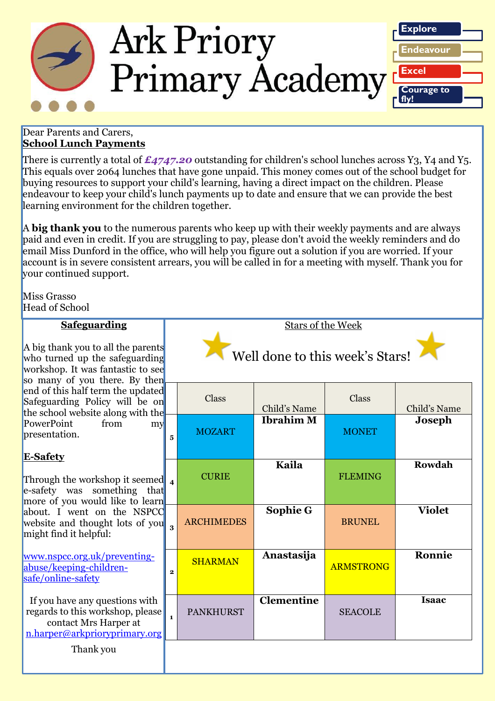

### Dear Parents and Carers, **School Lunch Payments**

There is currently a total of  $\pounds$ 4747.20 outstanding for children's school lunches across Y3, Y4 and Y5. This equals over 2064 lunches that have gone unpaid. This money comes out of the school budget for buying resources to support your child's learning, having a direct impact on the children. Please endeavour to keep your child's lunch payments up to date and ensure that we can provide the best learning environment for the children together.

A **big thank you** to the numerous parents who keep up with their weekly payments and are always paid and even in credit. If you are struggling to pay, please don't avoid the weekly reminders and do email Miss Dunford in the office, who will help you figure out a solution if you are worried. If your account is in severe consistent arrears, you will be called in for a meeting with myself. Thank you for your continued support.

Miss Grasso Head of School

| <b>Safeguarding</b>                                                                                                                                                                                                                                                                                 | <b>Stars of the Week</b>        |                   |                   |                  |               |
|-----------------------------------------------------------------------------------------------------------------------------------------------------------------------------------------------------------------------------------------------------------------------------------------------------|---------------------------------|-------------------|-------------------|------------------|---------------|
| A big thank you to all the parents<br>who turned up the safeguarding<br>workshop. It was fantastic to see<br>so many of you there. By then<br>end of this half term the updated<br>Safeguarding Policy will be on<br>the school website along with the<br>PowerPoint<br>from<br>my<br>presentation. | Well done to this week's Stars! |                   |                   |                  |               |
|                                                                                                                                                                                                                                                                                                     |                                 | Class             | Child's Name      | Class            | Child's Name  |
|                                                                                                                                                                                                                                                                                                     | 5                               | <b>MOZART</b>     | <b>Ibrahim M</b>  | <b>MONET</b>     | <b>Joseph</b> |
| <b>E-Safety</b><br>Through the workshop it seemed $\lambda$<br>e-safety was something<br>that<br>more of you would like to learn<br>about. I went on the NSPCC<br>website and thought lots of you 3<br>might find it helpful:                                                                       |                                 | <b>CURIE</b>      | Kaila             | <b>FLEMING</b>   | Rowdah        |
|                                                                                                                                                                                                                                                                                                     |                                 | <b>ARCHIMEDES</b> | Sophie G          | <b>BRUNEL</b>    | <b>Violet</b> |
| www.nspcc.org.uk/preventing-<br>abuse/keeping-children-<br>safe/online-safety                                                                                                                                                                                                                       | $\mathbf{2}$                    | <b>SHARMAN</b>    | Anastasija        | <b>ARMSTRONG</b> | Ronnie        |
| If you have any questions with<br>regards to this workshop, please<br>contact Mrs Harper at<br>n.harper@arkprioryprimary.org                                                                                                                                                                        |                                 | <b>PANKHURST</b>  | <b>Clementine</b> | <b>SEACOLE</b>   | <b>Isaac</b>  |
| Thank you                                                                                                                                                                                                                                                                                           |                                 |                   |                   |                  |               |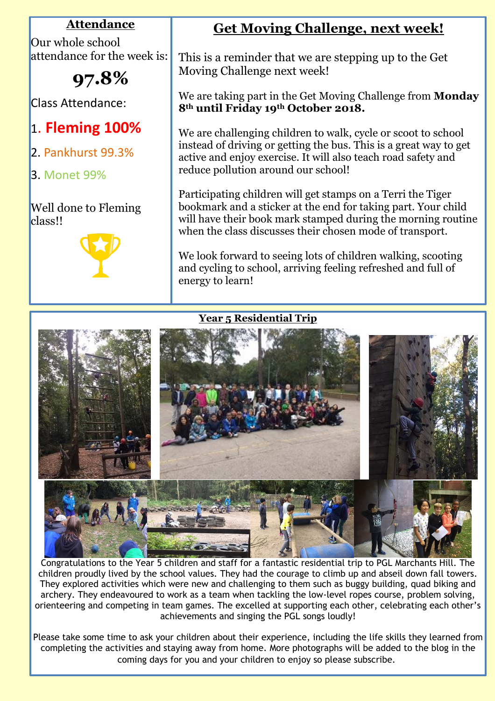## **Attendance**

Our whole school attendance for the week is:

# **97.8%**

Class Attendance:

## 1. **Fleming 100%**

- 2. Pankhurst 99.3%
- 3. Monet 99%

## Well done to Fleming class!!



## **Get Moving Challenge, next week!**

This is a reminder that we are stepping up to the Get Moving Challenge next week!

We are taking part in the Get Moving Challenge from **Monday 8th until Friday 19th October 2018.**

We are challenging children to walk, cycle or scoot to school instead of driving or getting the bus. This is a great way to get active and enjoy exercise. It will also teach road safety and reduce pollution around our school!

Participating children will get stamps on a Terri the Tiger bookmark and a sticker at the end for taking part. Your child will have their book mark stamped during the morning routine when the class discusses their chosen mode of transport.

We look forward to seeing lots of children walking, scooting and cycling to school, arriving feeling refreshed and full of energy to learn!

## **Year 5 Residential Trip**



Congratulations to the Year 5 children and staff for a fantastic residential trip to PGL Marchants Hill. The children proudly lived by the school values. They had the courage to climb up and abseil down fall towers. They explored activities which were new and challenging to them such as buggy building, quad biking and archery. They endeavoured to work as a team when tackling the low-level ropes course, problem solving, orienteering and competing in team games. The excelled at supporting each other, celebrating each other's achievements and singing the PGL songs loudly!

*Ark Priory Primary Academy is committed to safeguarding and equality*  Please take some time to ask your children about their experience, including the life skills they learned from ane suille completing the activities and staying away from home. More photographs will be added to the blog in the completing coming days for you and your children to enjoy so please subscribe.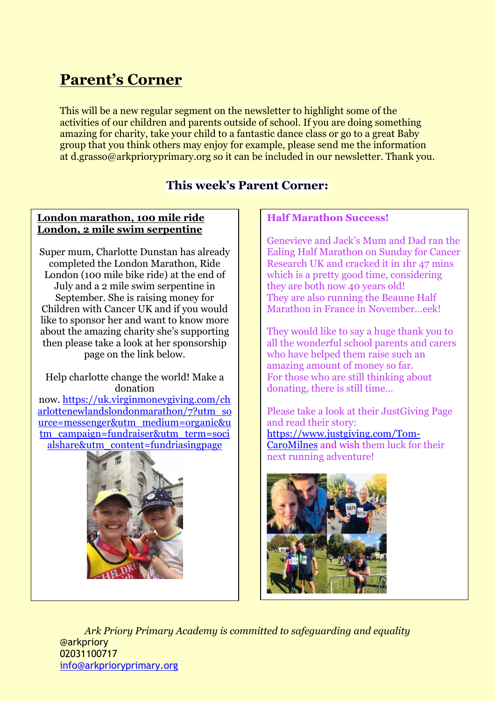## **Parent's Corner**

This will be a new regular segment on the newsletter to highlight some of the activities of our children and parents outside of school. If you are doing something amazing for charity, take your child to a fantastic dance class or go to a great Baby group that you think others may enjoy for example, please send me the information at d.grasso@arkprioryprimary.org so it can be included in our newsletter. Thank you.

## **This week's Parent Corner:**

### **London marathon, 100 mile ride London, 2 mile swim serpentine**

Super mum, Charlotte Dunstan has already completed the London Marathon, Ride London (100 mile bike ride) at the end of July and a 2 mile swim serpentine in September. She is raising money for Children with Cancer UK and if you would like to sponsor her and want to know more about the amazing charity she's supporting then please take a look at her sponsorship page on the link below.

Help charlotte change the world! Make a donation now. [https://uk.virginmoneygiving.com/ch](https://uk.virginmoneygiving.com/charlottenewlandslondonmarathon/7?utm_source=messenger&utm_medium=organic&utm_campaign=fundraiser&utm_term=socialshare&utm_content=fundriasingpage) [arlottenewlandslondonmarathon/7?utm\\_so](https://uk.virginmoneygiving.com/charlottenewlandslondonmarathon/7?utm_source=messenger&utm_medium=organic&utm_campaign=fundraiser&utm_term=socialshare&utm_content=fundriasingpage) [urce=messenger&utm\\_medium=organic&u](https://uk.virginmoneygiving.com/charlottenewlandslondonmarathon/7?utm_source=messenger&utm_medium=organic&utm_campaign=fundraiser&utm_term=socialshare&utm_content=fundriasingpage) [tm\\_campaign=fundraiser&utm\\_term=soci](https://uk.virginmoneygiving.com/charlottenewlandslondonmarathon/7?utm_source=messenger&utm_medium=organic&utm_campaign=fundraiser&utm_term=socialshare&utm_content=fundriasingpage) [alshare&utm\\_content=fundriasingpage](https://uk.virginmoneygiving.com/charlottenewlandslondonmarathon/7?utm_source=messenger&utm_medium=organic&utm_campaign=fundraiser&utm_term=socialshare&utm_content=fundriasingpage)



## **Half Marathon Success!**

Genevieve and Jack's Mum and Dad ran the Ealing Half Marathon on Sunday for Cancer Research UK and cracked it in 1hr 47 mins which is a pretty good time, considering they are both now 40 years old! They are also running the Beaune Half Marathon in France in November…eek!

They would like to say a huge thank you to all the wonderful school parents and carers who have helped them raise such an amazing amount of money so far. For those who are still thinking about donating, there is still time…

Please take a look at their JustGiving Page and read their story: [https://www.justgiving.com/Tom-](https://www.justgiving.com/Tom-CaroMilnes)[CaroMilnes](https://www.justgiving.com/Tom-CaroMilnes) and wish them luck for their next running adventure!



*Ark Priory Primary Academy is committed to safeguarding and equality*  @arkpriory 02031100717 [info@arkprioryprimary.org](mailto:info@arkprioryprimary.org)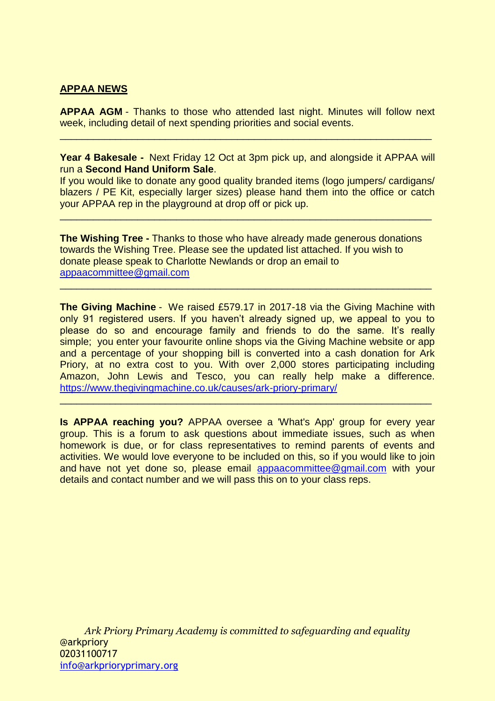### **APPAA NEWS**

**APPAA AGM** - Thanks to those who attended last night. Minutes will follow next week, including detail of next spending priorities and social events.

 $\overline{a}$  , and the contribution of the contribution of the contribution of the contribution of the contribution of the contribution of the contribution of the contribution of the contribution of the contribution of the co

**Year 4 Bakesale -** Next Friday 12 Oct at 3pm pick up, and alongside it APPAA will run a **Second Hand Uniform Sale**.

If you would like to donate any good quality branded items (logo jumpers/ cardigans/ blazers / PE Kit, especially larger sizes) please hand them into the office or catch your APPAA rep in the playground at drop off or pick up.

 $\overline{a}$  , and the contribution of the contribution of the contribution of the contribution of the contribution of the contribution of the contribution of the contribution of the contribution of the contribution of the co

**The Wishing Tree -** Thanks to those who have already made generous donations towards the Wishing Tree. Please see the updated list attached. If you wish to donate please speak to Charlotte Newlands or drop an email to [appaacommittee@gmail.com](mailto:appaacommittee@gmail.com)

 $\mathcal{L}_\mathcal{L} = \mathcal{L}_\mathcal{L} = \mathcal{L}_\mathcal{L} = \mathcal{L}_\mathcal{L} = \mathcal{L}_\mathcal{L} = \mathcal{L}_\mathcal{L} = \mathcal{L}_\mathcal{L} = \mathcal{L}_\mathcal{L} = \mathcal{L}_\mathcal{L} = \mathcal{L}_\mathcal{L} = \mathcal{L}_\mathcal{L} = \mathcal{L}_\mathcal{L} = \mathcal{L}_\mathcal{L} = \mathcal{L}_\mathcal{L} = \mathcal{L}_\mathcal{L} = \mathcal{L}_\mathcal{L} = \mathcal{L}_\mathcal{L}$ 

**The Giving Machine** - We raised £579.17 in 2017-18 via the Giving Machine with only 91 registered users. If you haven't already signed up, we appeal to you to please do so and encourage family and friends to do the same. It's really simple; you enter your favourite online shops via the Giving Machine website or app and a percentage of your shopping bill is converted into a cash donation for Ark Priory, at no extra cost to you. With over 2,000 stores participating including Amazon, John Lewis and Tesco, you can really help make a difference. <https://www.thegivingmachine.co.uk/causes/ark-priory-primary/>

**Is APPAA reaching you?** APPAA oversee a 'What's App' group for every year group. This is a forum to ask questions about immediate issues, such as when homework is due, or for class representatives to remind parents of events and activities. We would love everyone to be included on this, so if you would like to join and have not yet done so, please email [appaacommittee@gmail.com](mailto:appaacommittee@gmail.com) with your details and contact number and we will pass this on to your class reps.

 $\mathcal{L}_\text{max}$  , and the contribution of the contribution of the contribution of the contribution of the contribution of the contribution of the contribution of the contribution of the contribution of the contribution of t

*Ark Priory Primary Academy is committed to safeguarding and equality*  @arkpriory 02031100717 [info@arkprioryprimary.org](mailto:info@arkprioryprimary.org)